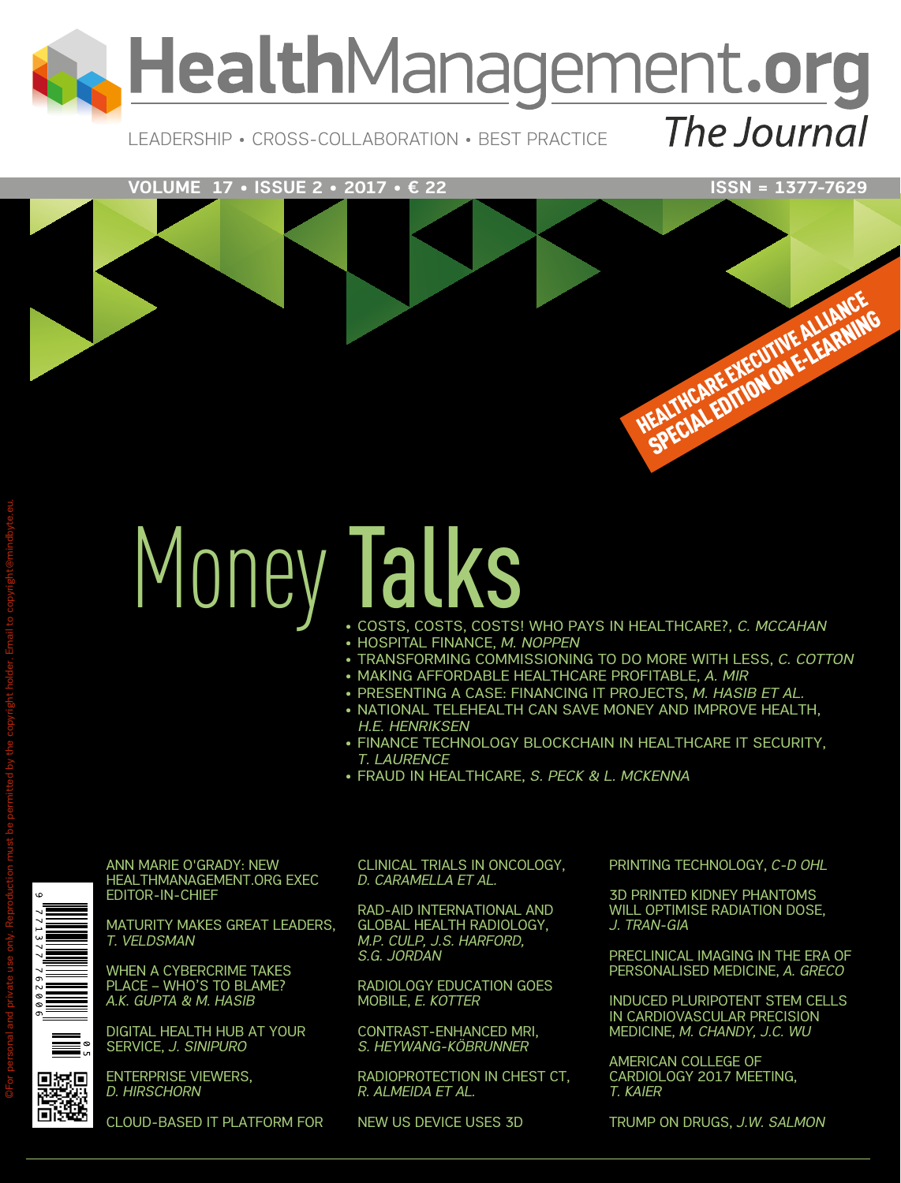

Leadership • Cross-Collaboration • Best Practice

#### **VOLUME 17 • ISSUE 2 • 2017 • € 22 ISSN = 1377-7629**

HEALTHCARE EXECUTIVE ALLIANCE EALTHCARE EXECUTIVE ALLIANING

# Money Talks

- • Costs, Costs, Costs! Who Pays in Healthcare?, *C. McCahan*
- • Hospital Finance, *M. Noppen*
- • Transforming Commissioning to Do More With Less, *C. Cotton*
- • Making Affordable Healthcare Profitable, *A. Mir*
- PRESENTING A CASE: FINANCING IT PROJECTS, M. HASIB ET AL.
- NATIONAL TELEHEALTH CAN SAVE MONEY AND IMPROVE HEALTH,  *H.E. Henriksen*
- FINANCE TECHNOLOGY BLOCKCHAIN IN HEALTHCARE IT SECURITY, *T. Laurence*
- • Fraud in Healthcare, *S. Peck & L. McKenna*

Ann Marie O'Grady: New HealthManagement.org Exec Editor-In-Chief

Maturity Makes Great Leaders, *T. Veldsman*

When A Cybercrime Takes Place – Who's To Blame? *A.K. Gupta & M. Hasib*

Digital Health Hub at Your Service, *J. Sinipuro*

Enterprise Viewers, *D. Hirschorn*

Cloud-Based IT Platform for

Clinical Trials in Oncology, *D. Caramella et al.* 

RAD-AID International and Global Health Radiology, *m.P. culP, J.s. Harford, s.g. Jordan*

Radiology Education Goes Mobile, *E. Kotter*

Contrast-Enhanced MRI, *S. Heywang-Köbrunner*

Radioprotection in Chest CT, *R. Almeida et al.*

New US Device Uses 3D

Printing Technology, *C-D Ohl*

3D Printed Kidney Phantoms Will Optimise Radiation Dose, *J. Tran-Gia*

Preclinical Imaging in the Era of Personalised Medicine, *A. Greco*

Induced Pluripotent Stem Cells in Cardiovascular Precision Medicine, *M. Chandy, J.C. Wu*

American College of CARDIOLOGY 2017 MEETING, *T. Kaier*

Trump on Drugs, *J.W. Salmon*

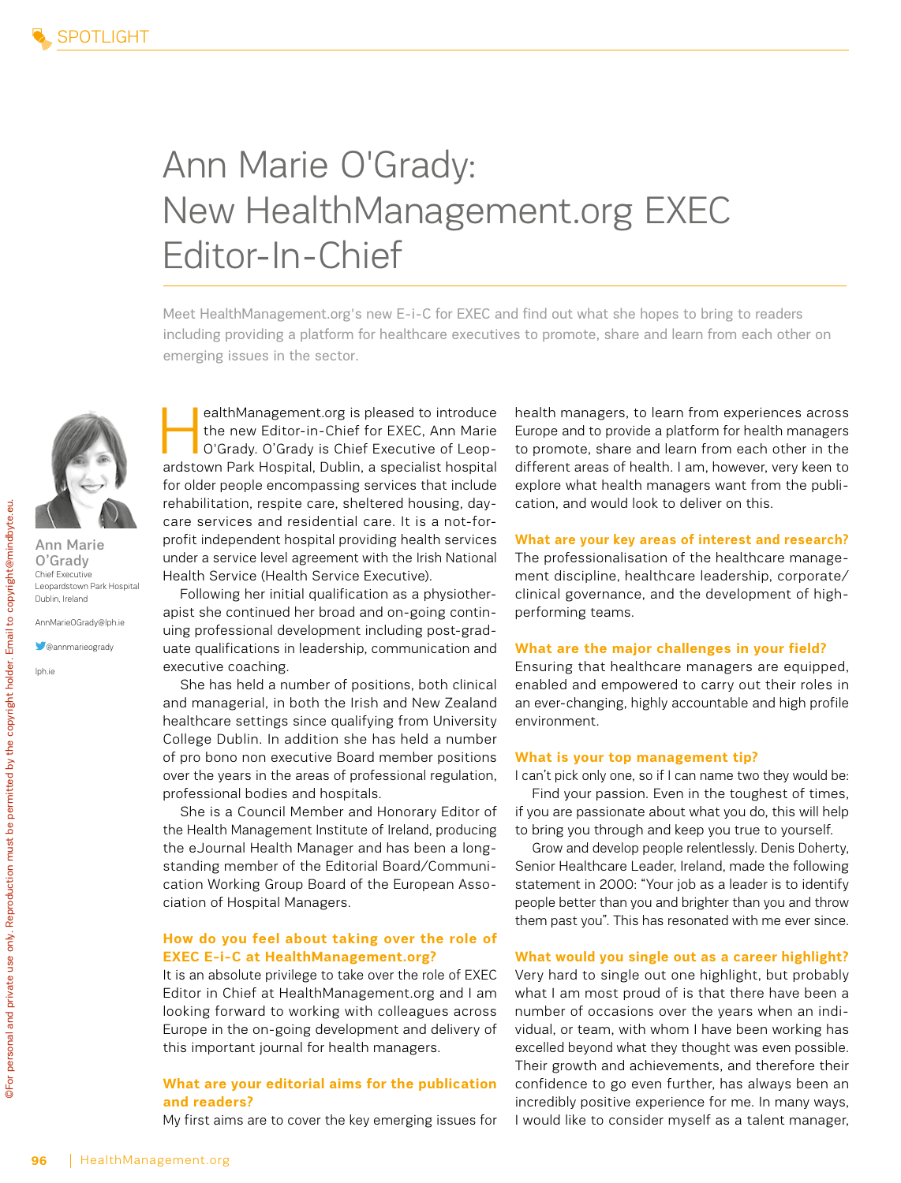## Ann Marie O'Grady: New HealthManagement.org EXEC Editor-In-Chief

Meet HealthManagement.org's new E-i-C for EXEC and find out what she hopes to bring to readers including providing a platform for healthcare executives to promote, share and learn from each other on emerging issues in the sector.

ealthManagement.org is pleased to introduce<br>the new Editor-in-Chief for EXEC, Ann Marie<br>O'Grady. O'Grady is Chief Executive of Leopthe new Editor-in-Chief for EXEC, Ann Marie O'Grady. O'Grady is Chief Executive of Leopardstown Park Hospital, Dublin, a specialist hospital for older people encompassing services that include rehabilitation, respite care, sheltered housing, daycare services and residential care. It is a not-forprofit independent hospital providing health services under a service level agreement with the Irish National Health Service (Health Service Executive).

Following her initial qualification as a physiotherapist she continued her broad and on-going continuing professional development including post-graduate qualifications in leadership, communication and executive coaching.

She has held a number of positions, both clinical and managerial, in both the Irish and New Zealand healthcare settings since qualifying from University College Dublin. In addition she has held a number of pro bono non executive Board member positions over the years in the areas of professional regulation, professional bodies and hospitals.

She is a Council Member and Honorary Editor of the Health Management Institute of Ireland, producing the eJournal Health Manager and has been a longstanding member of the Editorial Board/Communication Working Group Board of the European Association of Hospital Managers.

#### **How do you feel about taking over the role of EXEC E-i-C at HealthManagement.org?**

It is an absolute privilege to take over the role of EXEC Editor in Chief at HealthManagement.org and I am looking forward to working with colleagues across Europe in the on-going development and delivery of this important journal for health managers.

#### **What are your editorial aims for the publication and readers?**

My first aims are to cover the key emerging issues for

health managers, to learn from experiences across Europe and to provide a platform for health managers to promote, share and learn from each other in the different areas of health. I am, however, very keen to explore what health managers want from the publication, and would look to deliver on this.

**What are your key areas of interest and research?** The professionalisation of the healthcare management discipline, healthcare leadership, corporate/ clinical governance, and the development of highperforming teams.

#### **What are the major challenges in your field?**

Ensuring that healthcare managers are equipped, enabled and empowered to carry out their roles in an ever-changing, highly accountable and high profile environment.

#### **What is your top management tip?**

I can't pick only one, so if I can name two they would be: Find your passion. Even in the toughest of times, if you are passionate about what you do, this will help to bring you through and keep you true to yourself.

Grow and develop people relentlessly. Denis Doherty, Senior Healthcare Leader, Ireland, made the following statement in 2000: "Your job as a leader is to identify people better than you and brighter than you and throw them past you". This has resonated with me ever since.

#### **What would you single out as a career highlight?**

Very hard to single out one highlight, but probably what I am most proud of is that there have been a number of occasions over the years when an individual, or team, with whom I have been working has excelled beyond what they thought was even possible. Their growth and achievements, and therefore their confidence to go even further, has always been an incredibly positive experience for me. In many ways, I would like to consider myself as a talent manager,